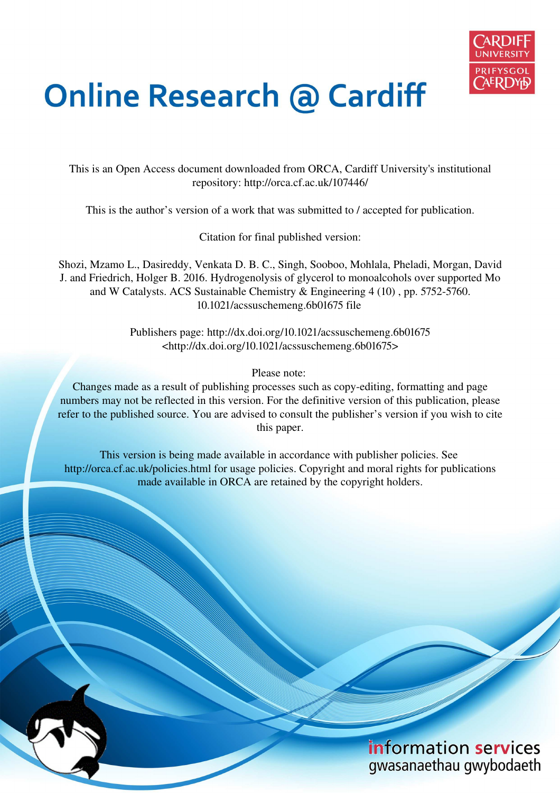

# **Online Research @ Cardiff**

This is an Open Access document downloaded from ORCA, Cardiff University's institutional repository: http://orca.cf.ac.uk/107446/

This is the author's version of a work that was submitted to / accepted for publication.

Citation for final published version:

Shozi, Mzamo L., Dasireddy, Venkata D. B. C., Singh, Sooboo, Mohlala, Pheladi, Morgan, David J. and Friedrich, Holger B. 2016. Hydrogenolysis of glycerol to monoalcohols over supported Mo and W Catalysts. ACS Sustainable Chemistry & Engineering 4 (10) , pp. 5752-5760. 10.1021/acssuschemeng.6b01675 file

> Publishers page: http://dx.doi.org/10.1021/acssuschemeng.6b01675 <http://dx.doi.org/10.1021/acssuschemeng.6b01675>

> > Please note:

Changes made as a result of publishing processes such as copy-editing, formatting and page numbers may not be reflected in this version. For the definitive version of this publication, please refer to the published source. You are advised to consult the publisher's version if you wish to cite this paper.

This version is being made available in accordance with publisher policies. See http://orca.cf.ac.uk/policies.html for usage policies. Copyright and moral rights for publications made available in ORCA are retained by the copyright holders.

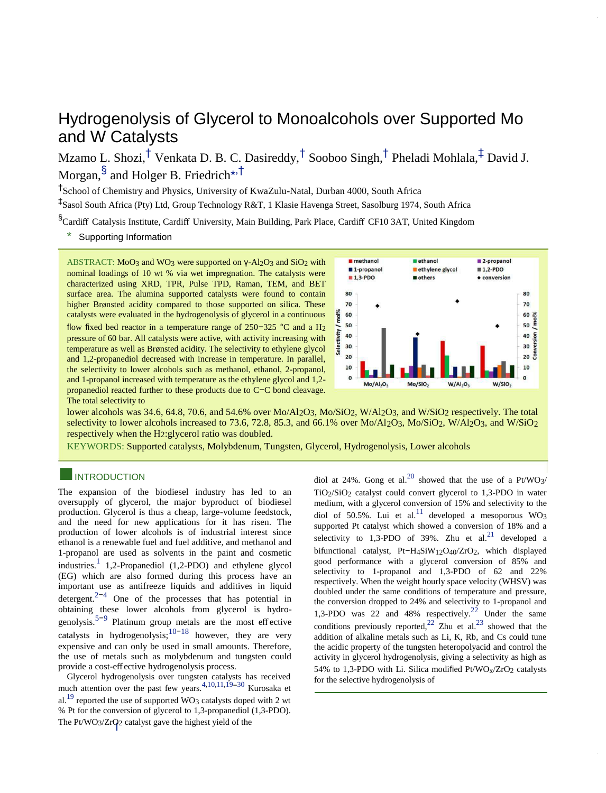# Hydrogenolysis of Glycerol to Monoalcohols over Supported Mo and W Catalysts

Mzamo L. Shozi,<sup>†</sup> [V](#page-8-0)enkata D. B. C. Dasireddy,<sup>†</sup> [S](#page-8-0)ooboo Singh,<sup>†</sup> [P](#page-8-0)heladi Mohlala,<sup>‡</sup> [D](#page-8-0)avid J. Morgan, $^\S$  and Holger B. Friedrich[\\*](#page-8-0) $^{\star, \dagger}$ 

† School of Chemistry and Physics, University of KwaZulu-Natal, Durban 4000, South Africa

‡ Sasol South Africa (Pty) Ltd, Group Technology R&T, 1 Klasie Havenga Street, Sasolburg 1974, South Africa

§Cardiff Catalysis Institute, Cardiff University, Main Building, Park Place, Cardiff CF10 3AT, United Kingdom

\*<sup>S</sup> [Supporting Information](#page-8-0) 

ABSTRACT: MoO3 and WO3 were supported on γ-Al<sub>2</sub>O<sub>3</sub> and SiO<sub>2</sub> with nominal loadings of 10 wt % via wet impregnation. The catalysts were characterized using XRD, TPR, Pulse TPD, Raman, TEM, and BET surface area. The alumina supported catalysts were found to contain higher Brønsted acidity compared to those supported on silica. These catalysts were evaluated in the hydrogenolysis of glycerol in a continuous flow fixed bed reactor in a temperature range of 250−325 °C and a H2 pressure of 60 bar. All catalysts were active, with activity increasing with temperature as well as Brønsted acidity. The selectivity to ethylene glycol and 1,2-propanediol decreased with increase in temperature. In parallel, the selectivity to lower alcohols such as methanol, ethanol, 2-propanol, and 1-propanol increased with temperature as the ethylene glycol and 1,2 propanediol reacted further to these products due to C−C bond cleavage. The total selectivity to



lower alcohols was 34.6, 64.8, 70.6, and 54.6% over Mo/Al<sub>2</sub>O<sub>3</sub>, Mo/SiO<sub>2</sub>, W/Al<sub>2</sub>O<sub>3</sub>, and W/SiO<sub>2</sub> respectively. The total selectivity to lower alcohols increased to 73.6, 72.8, 85.3, and 66.1% over Mo/Al<sub>2</sub>O3, Mo/SiO2, W/Al<sub>2</sub>O3, and W/SiO2 respectively when the H2:glycerol ratio was doubled.

KEYWORDS: Supported catalysts, Molybdenum, Tungsten, Glycerol, Hydrogenolysis, Lower alcohols

### **INTRODUCTION**

The expansion of the biodiesel industry has led to an oversupply of glycerol, the major byproduct of biodiesel production. Glycerol is thus a cheap, large-volume feedstock, and the need for new applications for it has risen. The production of lower alcohols is of industrial interest since ethanol is a renewable fuel and fuel additive, and methanol and 1-propanol are used as solvents in the paint and cosmetic industries.<sup>1</sup> 1,2-Propanediol (1,2-PDO) and ethylene glycol (EG) which are also formed during this process have an important use as antifreeze liquids and additives in liquid detergent.<sup>2-4</sup> One of the processes that has potential in obtaining these lower alcohols from glycerol is hydrogenolysis.<sup>5–9</sup> Platinum group metals are the most effective catalysts in hydrogenolysis;<sup>10−18</sup> however, they are very expensive and can only be used in small amounts. Therefore, the use of metals such as molybdenum and tungsten could provide a cost-effective hydrogenolysis process.

Glycerol hydrogenolysis over tungsten catalysts has received much attention over the past few years.<sup>4,10,11,19–30</sup> Kurosaka et al.<sup>19</sup> reported the use of supported WO<sub>3</sub> catalysts doped with 2 wt % Pt for the conversion of glycerol to 1,3-propanediol (1,3-PDO). The Pt/WO3/ZrO2 catalyst gave the highest yield of the

diol at 24%. Gong et al.<sup>20</sup> showed that the use of a Pt/WO<sub>3</sub>/ TiO2/SiO2 catalyst could convert glycerol to 1,3-PDO in water medium, with a glycerol conversion of 15% and selectivity to the diol of 50.5%. Lui et al.<sup>11</sup> developed a mesoporous WO<sub>3</sub> supported Pt catalyst which showed a conversion of 18% and a selectivity to 1,3-PDO of 39%. Zhu et al.<sup>21</sup> developed a bifunctional catalyst, Pt−H4SiW12O40/ZrO2, which displayed good performance with a glycerol conversion of 85% and selectivity to 1-propanol and 1,3-PDO of 62 and 22% respectively. When the weight hourly space velocity (WHSV) was doubled under the same conditions of temperature and pressure, the conversion dropped to 24% and selectivity to 1-propanol and 1,3-PDO was 22 and 48% respectively.<sup>22</sup> Under the same conditions previously reported,  $22$  Zhu et al.  $23$  showed that the addition of alkaline metals such as Li, K, Rb, and Cs could tune the acidic property of the tungsten heteropolyacid and control the activity in glycerol hydrogenolysis, giving a selectivity as high as 54% to 1,3-PDO with Li. Silica modified  $Pt/WO<sub>X</sub>/ZrO<sub>2</sub>$  catalysts for the selective hydrogenolysis of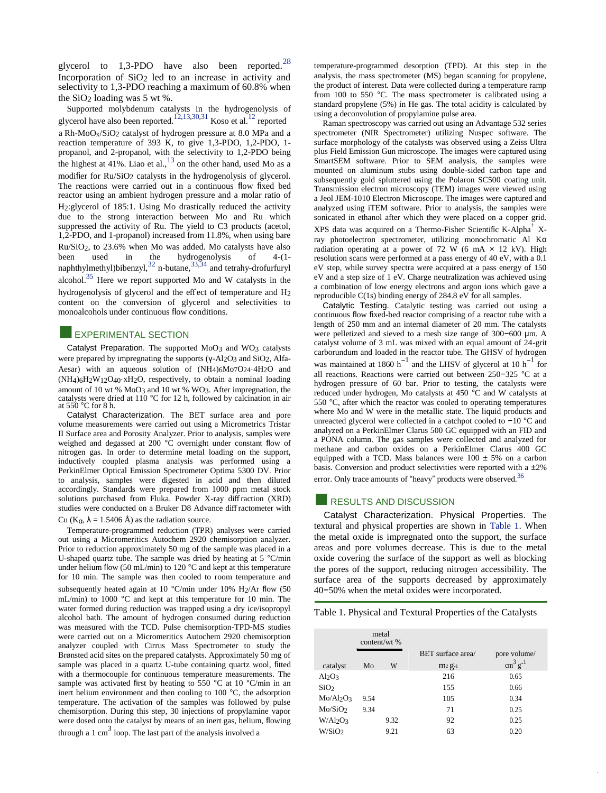glycerol to  $1,3-\text{PDO}$  have also been reported.<sup>28</sup> Incorporation of  $SiO<sub>2</sub>$  led to an increase in activity and selectivity to 1,3-PDO reaching a maximum of 60.8% when the SiO2 loading was 5 wt %.

Supported molybdenum catalysts in the hydrogenolysis of glycerol have also been reported. $^{12,13,30,31}$  Koso et al. $^{12}$  reported a Rh-MoOx/SiO2 catalyst of hydrogen pressure at 8.0 MPa and a reaction temperature of 393 K, to give 1,3-PDO, 1,2-PDO, 1 propanol, and 2-propanol, with the selectivity to 1,2-PDO being the highest at  $41\%$ . Liao et al.,  $13$  on the other hand, used Mo as a modifier for Ru/SiO<sub>2</sub> catalysts in the hydrogenolysis of glycerol. The reactions were carried out in a continuous flow fixed bed reactor using an ambient hydrogen pressure and a molar ratio of H2:glycerol of 185:1. Using Mo drastically reduced the activity due to the strong interaction between Mo and Ru which suppressed the activity of Ru. The yield to C3 products (acetol, 1,2-PDO, and 1-propanol) increased from 11.8%, when using bare Ru/SiO2, to 23.6% when Mo was added. Mo catalysts have also been used in the hydrogenolysis of 4-(1 naphthylmethyl)bibenzyl,  $32$  n-butane,  $33,34$  and tetrahy-drofurfuryl alcohol. $35$  Here we report supported Mo and W catalysts in the hydrogenolysis of glycerol and the effect of temperature and H<sup>2</sup> content on the conversion of glycerol and selectivities to monoalcohols under continuous flow conditions.

#### **EXPERIMENTAL SECTION**

Catalyst Preparation. The supported MoO3 and WO3 catalysts were prepared by impregnating the supports (γ-Al<sub>2</sub>O<sub>3</sub> and SiO<sub>2</sub>, Alfa-Aesar) with an aqueous solution of (NH4)6Mo7O24·4H2O and (NH4)6H2W12O40·xH2O, respectively, to obtain a nominal loading amount of 10 wt % MoO3 and 10 wt % WO3. After impregnation, the catalysts were dried at 110 °C for 12 h, followed by calcination in air at 550 °C for 8 h.

Catalyst Characterization. The BET surface area and pore volume measurements were carried out using a Micrometrics Tristar II Surface area and Porosity Analyzer. Prior to analysis, samples were weighed and degassed at 200 °C overnight under constant flow of nitrogen gas. In order to determine metal loading on the support, inductively coupled plasma analysis was performed using a PerkinElmer Optical Emission Spectrometer Optima 5300 DV. Prior to analysis, samples were digested in acid and then diluted accordingly. Standards were prepared from 1000 ppm metal stock solutions purchased from Fluka. Powder X-ray diffraction (XRD) studies were conducted on a Bruker D8 Advance diffractometer with

#### Cu ( $K_{\alpha}$ ,  $\lambda = 1.5406$  Å) as the radiation source.

Temperature-programmed reduction (TPR) analyses were carried out using a Micromeritics Autochem 2920 chemisorption analyzer. Prior to reduction approximately 50 mg of the sample was placed in a U-shaped quartz tube. The sample was dried by heating at 5 °C/min under helium flow (50 mL/min) to 120 °C and kept at this temperature for 10 min. The sample was then cooled to room temperature and subsequently heated again at 10 °C/min under 10% H<sub>2</sub>/Ar flow (50 mL/min) to 1000 °C and kept at this temperature for 10 min. The water formed during reduction was trapped using a dry ice/isopropyl alcohol bath. The amount of hydrogen consumed during reduction was measured with the TCD. Pulse chemisorption-TPD-MS studies were carried out on a Micromeritics Autochem 2920 chemisorption analyzer coupled with Cirrus Mass Spectrometer to study the Brønsted acid sites on the prepared catalysts. Approximately 50 mg of sample was placed in a quartz U-tube containing quartz wool, fitted with a thermocouple for continuous temperature measurements. The sample was activated first by heating to 550 °C at 10 °C/min in an inert helium environment and then cooling to 100 °C, the adsorption temperature. The activation of the samples was followed by pulse chemisorption. During this step, 30 injections of propylamine vapor were dosed onto the catalyst by means of an inert gas, helium, flowing through a 1 cm<sup>3</sup> loop. The last part of the analysis involved a

temperature-programmed desorption (TPD). At this step in the analysis, the mass spectrometer (MS) began scanning for propylene, the product of interest. Data were collected during a temperature ramp from 100 to 550 °C. The mass spectrometer is calibrated using a standard propylene (5%) in He gas. The total acidity is calculated by using a deconvolution of propylamine pulse area.

Raman spectroscopy was carried out using an Advantage 532 series spectrometer (NIR Spectrometer) utilizing Nuspec software. The surface morphology of the catalysts was observed using a Zeiss Ultra plus Field Emission Gun microscope. The images were captured using SmartSEM software. Prior to SEM analysis, the samples were mounted on aluminum stubs using double-sided carbon tape and subsequently gold spluttered using the Polaron SC500 coating unit. Transmission electron microscopy (TEM) images were viewed using a Jeol JEM-1010 Electron Microscope. The images were captured and analyzed using iTEM software. Prior to analysis, the samples were sonicated in ethanol after which they were placed on a copper grid. XPS data was acquired on a Thermo-Fisher Scientific K-Alpha<sup>+</sup> Xray photoelectron spectrometer, utilizing monochromatic Al Kα radiation operating at a power of 72 W (6 mA  $\times$  12 kV). High resolution scans were performed at a pass energy of 40 eV, with a 0.1 eV step, while survey spectra were acquired at a pass energy of 150 eV and a step size of 1 eV. Charge neutralization was achieved using a combination of low energy electrons and argon ions which gave a reproducible C(1s) binding energy of 284.8 eV for all samples.

Catalytic Testing. Catalytic testing was carried out using a continuous flow fixed-bed reactor comprising of a reactor tube with a length of 250 mm and an internal diameter of 20 mm. The catalysts were pelletized and sieved to a mesh size range of 300−600 µm. A catalyst volume of 3 mL was mixed with an equal amount of 24-grit carborundum and loaded in the reactor tube. The GHSV of hydrogen was maintained at 1860  $h^{-1}$  and the LHSV of glycerol at 10  $h^{-1}$  for all reactions. Reactions were carried out between 250−325 °C at a hydrogen pressure of 60 bar. Prior to testing, the catalysts were reduced under hydrogen, Mo catalysts at 450 °C and W catalysts at 550 °C, after which the reactor was cooled to operating temperatures where Mo and W were in the metallic state. The liquid products and unreacted glycerol were collected in a catchpot cooled to −10 °C and analyzed on a PerkinElmer Clarus 500 GC equipped with an FID and a PONA column. The gas samples were collected and analyzed for methane and carbon oxides on a PerkinElmer Clarus 400 GC equipped with a TCD. Mass balances were  $100 \pm 5\%$  on a carbon basis. Conversion and product selectivities were reported with a  $\pm 2\%$ error. Only trace amounts of "heavy" products were observed.<sup>36</sup>

#### **EXECULTS AND DISCUSSION**

Catalyst Characterization. Physical Properties. The textural and physical properties are shown in [Table 1.](#page-8-0) When the metal oxide is impregnated onto the support, the surface areas and pore volumes decrease. This is due to the metal oxide covering the surface of the support as well as blocking the pores of the support, reducing nitrogen accessibility. The surface area of the supports decreased by approximately 40−50% when the metal oxides were incorporated.

Table 1. Physical and Textural Properties of the Catalysts

|                                | content/wt % | metal |                   |                              |
|--------------------------------|--------------|-------|-------------------|------------------------------|
|                                |              |       | BET surface area/ | pore volume/                 |
| catalyst                       | Mo           | W     | $m2 g-1$          | $\text{cm}^3 \text{ g}^{-1}$ |
| Al <sub>2</sub> O <sub>3</sub> |              |       | 216               | 0.65                         |
| SiO <sub>2</sub>               |              |       | 155               | 0.66                         |
| Mo/Al2O3                       | 9.54         |       | 105               | 0.34                         |
| Mo/SiO2                        | 9.34         |       | 71                | 0.25                         |
| $W\}/Al2O3$                    |              | 9.32  | 92                | 0.25                         |
| W/SiO <sub>2</sub>             |              | 9.21  | 63                | 0.20                         |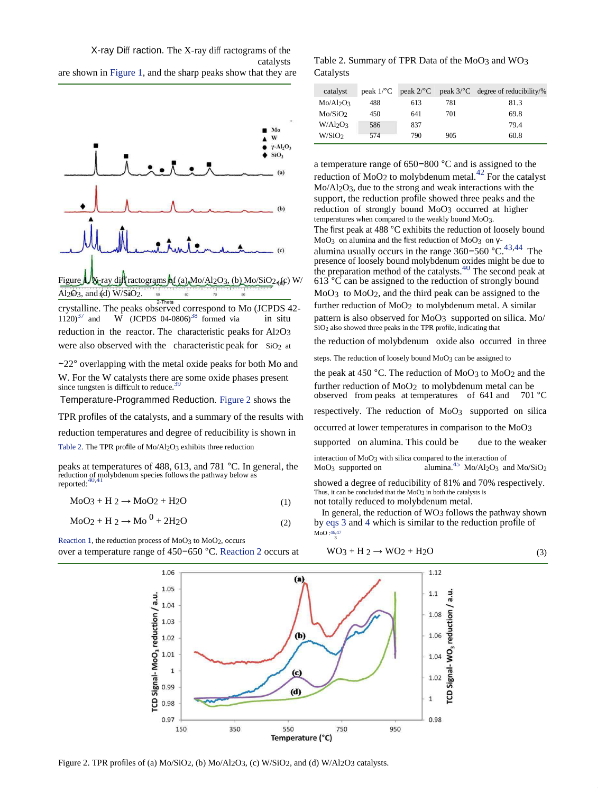X-ray Diff raction. The X-ray diff ractograms of the are shown i[n Figure 1,](#page-8-0) and the sharp peaks show that they are Catalysts



crystalline. The peaks observed correspond to Mo (JCPDS 42- further reduction of MoO2 to molybdenum metal. A similar 1120)<sup> $3/$ </sup> and  $\vec{W}$  (JCPDS 04-0806)<sup>38</sup> formed via in situ pattern is also observed for MoO3 supported on silica. Mo/  $\sin \theta$  since the graduating that  $\sin \theta$  also showed three peaks in the TPR profile, indicating that and  $\overrightarrow{W}$  (JCPDS 04-0806)<sup>38</sup> [f](#page-8-0)ormed via in situ

∼22° overlapping with the metal oxide peaks for both Mo and

were also observed with the characteristic peak for  $SiO<sub>2</sub>$  at

Temperature-Programmed Reduction. [Figure 2](#page-8-0) shows the

respectively. The reduction of MoO3 supported on silica TPR profiles of the catalysts, and a summary of the results with

reduction temperatures and degree of reducibility is shown in occurred at lower temperatures in comparison to the MoO3<br>supported on alumina. This could be due to the weaker [Table 2.](#page-8-0) The TPR profile of  $Mo/Al_2O_3$  exhibits three reduction

peaks at temperatures of 488, 613, and 781  $^{\circ}$ C. In general, the reduction of molybdenum species follows the pathway below as reported:  $40,41$ 

 $MoO<sub>3</sub> + H<sub>2</sub> \rightarrow MoO<sub>2</sub> + H<sub>2</sub>O$ 

$$
MoO2 + H2 \rightarrow Mo0 + 2H2O
$$
 (2)

[Reaction 1,](#page-8-0) the reduction process of Mo

150

1.06 1.05

1.04 1.03 1.02 1.01  $\overline{1}$ 0.99 0.98 0.97

**CD Signal-MoO<sub>3</sub>** reduction / a.u.

catalysts Table 2. Summary of TPR Data of the MoO3 and WO3

| catalyst                          |     |     |     | peak $1$ <sup>o</sup> C peak $2$ <sup>o</sup> C peak $3$ <sup>o</sup> C degree of reducibility/% |
|-----------------------------------|-----|-----|-----|--------------------------------------------------------------------------------------------------|
| Mo/Al <sub>2</sub> O <sub>3</sub> | 488 | 613 | 781 | 81.3                                                                                             |
| Mo/SiO <sub>2</sub>               | 450 | 641 | 701 | 69.8                                                                                             |
| $W/Al_2O_3$                       | 586 | 837 |     | 79.4                                                                                             |
| W/SiO <sub>2</sub>                | 574 | 790 | 905 | 60.8                                                                                             |

a temperature range of 650−800 °C and is assigned to the reduction of MoO<sub>2</sub> to molybdenum metal.<sup>[42](#page-8-0)</sup> For the catalyst Mo/Al2O3, due to the strong and weak interactions with the support, the reduction profile showed three peaks and the reduction of strongly bound MoO3 occurred at higher temperatures when compared to the weakly bound MoO3. The first peak at 488 °C exhibits the reduction of loosely bound  $MoO<sub>3</sub>$  on alumina and the first reduction of MoO<sub>3</sub> on γ-alumina usually occurs in the range 360-560 °C.<sup>[43,44](#page-8-0)</sup> The presence of loosely bound molybdenum oxides might be due to the preparation method of the catalysts. $40$  The second peak at  $613^{\circ}$ C can be assigned to the reduction of strongly bound reduction in the reactor. The characteristic peaks for  $A12O3$  SiO2 also showed three peaks in the TPR profile, indicating that  $\frac{1}{R}$  is the reduction of molybdenum oxide also occurred in three

steps. The reduction of loosely bound MoO3 can be assigned to

W. For the W catalysts there are some oxide phases present the peak at 450 °C. The reduction of MoO3 to MoO2 and the since tungsten is difficult to reduce.<sup>39</sup> further reduction of MoO<sub>2</sub> to molybdenum metal can be observed from peaks at temperatures of 641 and 701 °C

interaction of MoO<sub>3</sub> with silica compared to the interaction of  $Mo/Al_2O_3$  and  $Mo/SiO_2$ 

showed a degree of reducibility of 81% and 70% respectively. Thus, it can be concluded that the MoO3 in both the catalysts is (1) not totally reduced to molybdenum metal.

> In general, the reduction of  $WO<sub>3</sub>$  follows the pathway shown b[y eqs 3 a](#page-8-0)nd [4 w](#page-8-0)hich is similar to the reduction profile of MoO :[46,47](#page-8-0)

> > 0.98

950

Reaction 1, the reduction process of MoO3 to MoO2, occurs

\nover a temperature range of 450–650 °C. Reaction 2 occurs at

\n

| vector                                                                                                                                                                                                                                                                                                                                                                                                                                                                                                                                                                                                                                                                                                                                                                                                                                                                                                                                                                                                                                                                                                                                                                                                                                                                                                                                                                                                                                                                            | 1.06            |                 |                 |                 |                 |                 |                 |                 |                 |                 |                 |                 |                 |                 |                 |                 |                 |                 |                 |                 |                 |                 |                 |                 |                 |                 |                 |                 |                 |                 |                 |                 |                 |
|-----------------------------------------------------------------------------------------------------------------------------------------------------------------------------------------------------------------------------------------------------------------------------------------------------------------------------------------------------------------------------------------------------------------------------------------------------------------------------------------------------------------------------------------------------------------------------------------------------------------------------------------------------------------------------------------------------------------------------------------------------------------------------------------------------------------------------------------------------------------------------------------------------------------------------------------------------------------------------------------------------------------------------------------------------------------------------------------------------------------------------------------------------------------------------------------------------------------------------------------------------------------------------------------------------------------------------------------------------------------------------------------------------------------------------------------------------------------------------------|-----------------|-----------------|-----------------|-----------------|-----------------|-----------------|-----------------|-----------------|-----------------|-----------------|-----------------|-----------------|-----------------|-----------------|-----------------|-----------------|-----------------|-----------------|-----------------|-----------------|-----------------|-----------------|-----------------|-----------------|-----------------|-----------------|-----------------|-----------------|-----------------|-----------------|-----------------|-----------------|-----------------|
| \n <table>\n<tbody>\n<tr>\n<td>\n<math display="block">\vec{a}</math>\n</td>\n<td>\n<math>\vec{a}</math>\n</td>\n</tr>\n<tr>\n<td>\n<math>\vec{a}</math>\n</td>\n<td>\n<math>\vec{a}</math>\n</td>\n</tr>\n<tr>\n<td>\n<math>\vec{a}</math>\n</td>\n<td>\n<math>\vec{a}</math>\n</td>\n</tr>\n<tr>\n<td>\n<math>\vec{a}</math>\n</td>\n<td>\n<math>\vec{a}</math>\n</td>\n</tr>\n<tr>\n<td>\n<math>\vec{a}</math>\n</td>\n<td>\n<math>\vec{a}</math>\n</td>\n</tr>\n<tr>\n<td>\n<math>\vec{a}</math>\n</td>\n<td>\n<math>\vec{a}</math>\n</td>\n</tr>\n<tr>\n<td>\n<math>\vec{a}</math>\n</td>\n<td>\n<math>\vec{a}</math>\n</td>\n</tr>\n<tr>\n<td>\n<math>\vec{a}</math>\n</td>\n<td>\n<math>\vec{a}</math>\n</td>\n</tr>\n<tr>\n<td>\n<math>\vec{a}</math>\n</td>\n<td>\n<math>\vec{a}</math>\n</td>\n</tr>\n<tr>\n<td>\n<math>\vec{a}</math>\n</td>\n<td>\n<math>\vec{a}</math>\n</td>\n</tr>\n<tr>\n<td>\n<math>\vec{a}</math>\n</td>\n<td>\n<math>\vec{a}</math>\n</td>\n</tr>\n<tr>\n<td>\n<math>\vec{a}</math>\n</td>\n<td>\n<math>\vec{a}</math>\n</td>\n</tr>\n<tr>\n<td>\n<math>\vec{a}</math>\n</td>\n<td>\n<math>\vec{a}</math>\n</td>\n</tr>\n<tr>\n<td>\n<math>\vec{a}</math>\n</td>\n<td>\n<math>\vec{a}</math>\n</td>\n</tr>\n<tr>\n<td>\n<math>\vec{a}</math>\n</td>\n<td>\n<math>\vec{a}</math>\n</td>\n</tr>\n<tr>\n<td>\n<math>\vec{a}</math>\n</td>\n<td>\n<math>\vec{a}</math>\n</td>\n</tr>\n<tr>\n<td>\n<math>\vec{a}</math>\n</td></tr></tbody></table> | \n $\vec{a}$ \n | \n $\vec{a}$ \n | \n $\vec{a}$ \n | \n $\vec{a}$ \n | \n $\vec{a}$ \n | \n $\vec{a}$ \n | \n $\vec{a}$ \n | \n $\vec{a}$ \n | \n $\vec{a}$ \n | \n $\vec{a}$ \n | \n $\vec{a}$ \n | \n $\vec{a}$ \n | \n $\vec{a}$ \n | \n $\vec{a}$ \n | \n $\vec{a}$ \n | \n $\vec{a}$ \n | \n $\vec{a}$ \n | \n $\vec{a}$ \n | \n $\vec{a}$ \n | \n $\vec{a}$ \n | \n $\vec{a}$ \n | \n $\vec{a}$ \n | \n $\vec{a}$ \n | \n $\vec{a}$ \n | \n $\vec{a}$ \n | \n $\vec{a}$ \n | \n $\vec{a}$ \n | \n $\vec{a}$ \n | \n $\vec{a}$ \n | \n $\vec{a}$ \n | \n $\vec{a}$ \n | \n $\vec{a}$ \n | \n $\vec{a}$ \n |
| \n $\vec{a}$ \n                                                                                                                                                                                                                                                                                                                                                                                                                                                                                                                                                                                                                                                                                                                                                                                                                                                                                                                                                                                                                                                                                                                                                                                                                                                                                                                                                                                                                                                                   | \n $\vec{a}$ \n |                 |                 |                 |                 |                 |                 |                 |                 |                 |                 |                 |                 |                 |                 |                 |                 |                 |                 |                 |                 |                 |                 |                 |                 |                 |                 |                 |                 |                 |                 |                 |                 |
| \n $\vec{a}$ \n                                                                                                                                                                                                                                                                                                                                                                                                                                                                                                                                                                                                                                                                                                                                                                                                                                                                                                                                                                                                                                                                                                                                                                                                                                                                                                                                                                                                                                                                   | \n $\vec{a}$ \n |                 |                 |                 |                 |                 |                 |                 |                 |                 |                 |                 |                 |                 |                 |                 |                 |                 |                 |                 |                 |                 |                 |                 |                 |                 |                 |                 |                 |                 |                 |                 |                 |
| \n $\vec{a}$ \n                                                                                                                                                                                                                                                                                                                                                                                                                                                                                                                                                                                                                                                                                                                                                                                                                                                                                                                                                                                                                                                                                                                                                                                                                                                                                                                                                                                                                                                                   | \n $\vec{a}$ \n |                 |                 |                 |                 |                 |                 |                 |                 |                 |                 |                 |                 |                 |                 |                 |                 |                 |                 |                 |                 |                 |                 |                 |                 |                 |                 |                 |                 |                 |                 |                 |                 |
| \n $\vec{a}$ \n                                                                                                                                                                                                                                                                                                                                                                                                                                                                                                                                                                                                                                                                                                                                                                                                                                                                                                                                                                                                                                                                                                                                                                                                                                                                                                                                                                                                                                                                   | \n $\vec{a}$ \n |                 |                 |                 |                 |                 |                 |                 |                 |                 |                 |                 |                 |                 |                 |                 |                 |                 |                 |                 |                 |                 |                 |                 |                 |                 |                 |                 |                 |                 |                 |                 |                 |
| \n $\vec{a}$ \n                                                                                                                                                                                                                                                                                                                                                                                                                                                                                                                                                                                                                                                                                                                                                                                                                                                                                                                                                                                                                                                                                                                                                                                                                                                                                                                                                                                                                                                                   | \n $\vec{a}$ \n |                 |                 |                 |                 |                 |                 |                 |                 |                 |                 |                 |                 |                 |                 |                 |                 |                 |                 |                 |                 |                 |                 |                 |                 |                 |                 |                 |                 |                 |                 |                 |                 |
| \n $\vec{a}$ \n                                                                                                                                                                                                                                                                                                                                                                                                                                                                                                                                                                                                                                                                                                                                                                                                                                                                                                                                                                                                                                                                                                                                                                                                                                                                                                                                                                                                                                                                   | \n $\vec{a}$ \n |                 |                 |                 |                 |                 |                 |                 |                 |                 |                 |                 |                 |                 |                 |                 |                 |                 |                 |                 |                 |                 |                 |                 |                 |                 |                 |                 |                 |                 |                 |                 |                 |
| \n $\vec{a}$ \n                                                                                                                                                                                                                                                                                                                                                                                                                                                                                                                                                                                                                                                                                                                                                                                                                                                                                                                                                                                                                                                                                                                                                                                                                                                                                                                                                                                                                                                                   | \n $\vec{a}$ \n |                 |                 |                 |                 |                 |                 |                 |                 |                 |                 |                 |                 |                 |                 |                 |                 |                 |                 |                 |                 |                 |                 |                 |                 |                 |                 |                 |                 |                 |                 |                 |                 |
| \n $\vec{a}$ \n                                                                                                                                                                                                                                                                                                                                                                                                                                                                                                                                                                                                                                                                                                                                                                                                                                                                                                                                                                                                                                                                                                                                                                                                                                                                                                                                                                                                                                                                   | \n $\vec{a}$ \n |                 |                 |                 |                 |                 |                 |                 |                 |                 |                 |                 |                 |                 |                 |                 |                 |                 |                 |                 |                 |                 |                 |                 |                 |                 |                 |                 |                 |                 |                 |                 |                 |
| \n $\vec{a}$ \n                                                                                                                                                                                                                                                                                                                                                                                                                                                                                                                                                                                                                                                                                                                                                                                                                                                                                                                                                                                                                                                                                                                                                                                                                                                                                                                                                                                                                                                                   | \n $\vec{a}$ \n |                 |                 |                 |                 |                 |                 |                 |                 |                 |                 |                 |                 |                 |                 |                 |                 |                 |                 |                 |                 |                 |                 |                 |                 |                 |                 |                 |                 |                 |                 |                 |                 |
| \n $\vec{a}$ \n                                                                                                                                                                                                                                                                                                                                                                                                                                                                                                                                                                                                                                                                                                                                                                                                                                                                                                                                                                                                                                                                                                                                                                                                                                                                                                                                                                                                                                                                   | \n $\vec{a}$ \n |                 |                 |                 |                 |                 |                 |                 |                 |                 |                 |                 |                 |                 |                 |                 |                 |                 |                 |                 |                 |                 |                 |                 |                 |                 |                 |                 |                 |                 |                 |                 |                 |
| \n $\vec{a}$ \n                                                                                                                                                                                                                                                                                                                                                                                                                                                                                                                                                                                                                                                                                                                                                                                                                                                                                                                                                                                                                                                                                                                                                                                                                                                                                                                                                                                                                                                                   | \n $\vec{a}$ \n |                 |                 |                 |                 |                 |                 |                 |                 |                 |                 |                 |                 |                 |                 |                 |                 |                 |                 |                 |                 |                 |                 |                 |                 |                 |                 |                 |                 |                 |                 |                 |                 |
| \n $\vec{a}$ \n                                                                                                                                                                                                                                                                                                                                                                                                                                                                                                                                                                                                                                                                                                                                                                                                                                                                                                                                                                                                                                                                                                                                                                                                                                                                                                                                                                                                                                                                   | \n $\vec{a}$ \n |                 |                 |                 |                 |                 |                 |                 |                 |                 |                 |                 |                 |                 |                 |                 |                 |                 |                 |                 |                 |                 |                 |                 |                 |                 |                 |                 |                 |                 |                 |                 |                 |
| \n $\vec{a}$ \n                                                                                                                                                                                                                                                                                                                                                                                                                                                                                                                                                                                                                                                                                                                                                                                                                                                                                                                                                                                                                                                                                                                                                                                                                                                                                                                                                                                                                                                                   | \n $\vec{a}$ \n |                 |                 |                 |                 |                 |                 |                 |                 |                 |                 |                 |                 |                 |                 |                 |                 |                 |                 |                 |                 |                 |                 |                 |                 |                 |                 |                 |                 |                 |                 |                 |                 |
| \n $\vec{a}$ \n                                                                                                                                                                                                                                                                                                                                                                                                                                                                                                                                                                                                                                                                                                                                                                                                                                                                                                                                                                                                                                                                                                                                                                                                                                                                                                                                                                                                                                                                   | \n $\vec{a}$ \n |                 |                 |                 |                 |                 |                 |                 |                 |                 |                 |                 |                 |                 |                 |                 |                 |                 |                 |                 |                 |                 |                 |                 |                 |                 |                 |                 |                 |                 |                 |                 |                 |
| \n $\vec{a}$ \n                                                                                                                                                                                                                                                                                                                                                                                                                                                                                                                                                                                                                                                                                                                                                                                                                                                                                                                                                                                                                                                                                                                                                                                                                                                                                                                                                                                                                                                                   | \n $\vec{a}$ \n |                 |                 |                 |                 |                 |                 |                 |                 |                 |                 |                 |                 |                 |                 |                 |                 |                 |                 |                 |                 |                 |                 |                 |                 |                 |                 |                 |                 |                 |                 |                 |                 |
| \n $\vec{a}$ \n                                                                                                                                                                                                                                                                                                                                                                                                                                                                                                                                                                                                                                                                                                                                                                                                                                                                                                                                                                                                                                                                                                                                                                                                                                                                                                                                                                                                                                                                   | \n $\vec{a}$ \n |                 |                 |                 |                 |                 |                 |                 |                 |                 |                 |                 |                 |                 |                 |                 |                 |                 |                 |                 |                 |                 |                 |                 |                 |                 |                 |                 |                 |                 |                 |                 |                 |
| \n $\vec{a}$ \n                                                                                                                                                                                                                                                                                                                                                                                                                                                                                                                                                                                                                                                                                                                                                                                                                                                                                                                                                                                                                                                                                                                                                                                                                                                                                                                                                                                                                                                                   |                 |                 |                 |                 |                 |                 |                 |                 |                 |                 |                 |                 |                 |                 |                 |                 |                 |                 |                 |                 |                 |                 |                 |                 |                 |                 |                 |                 |                 |                 |                 |                 |                 |

750

Figure 2. TPR profiles of (a) Mo/SiO2, (b) Mo/Al2O3, (c) W/SiO2, and (d) W/Al2O3 catalysts.

350

550

Temperature (°C)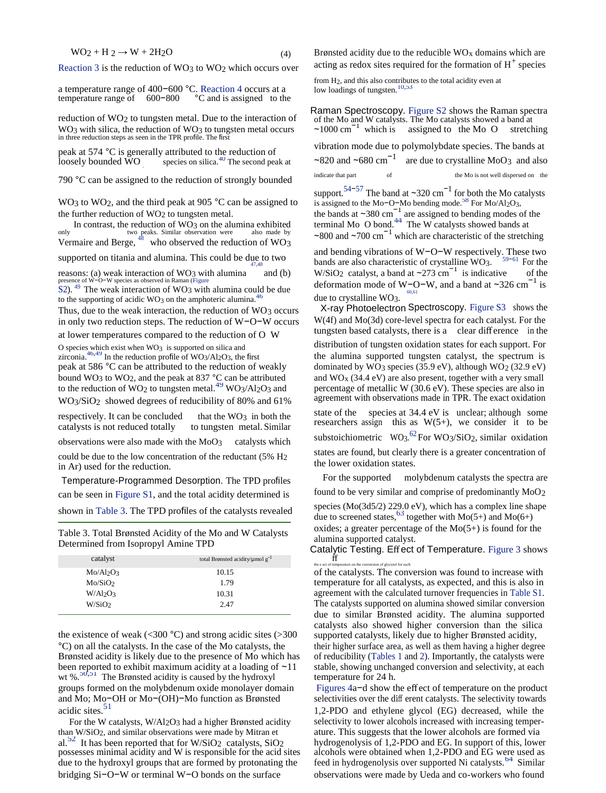$$
WO2 + H2 \rightarrow W + 2H2O
$$
 (4)

[Reaction 3 i](#page-8-0)s the reduction of WO<sub>3</sub> to WO<sub>2</sub> which occurs over

| a temperature range of 400-600 °C. Reaction 4 occurs at a |         |                           |  |
|-----------------------------------------------------------|---------|---------------------------|--|
| temperature range of                                      | 600-800 | °C and is assigned to the |  |

reduction of WO<sub>2</sub> to tungsten metal. Due to the interaction of WO<sub>3</sub> with silica, the reduction of WO<sub>3</sub> to tungsten metal occurs in three reduction steps as seen in the TPR profile. The first

peak at 574 °C is generally attributed to the reduction of vibration mode due to polymolybdate species. The bands at loosely bounded WO species on silica.<sup>40</sup> The second peak at  $\sim$ 820 and  $\sim$ 680 cm<sup>-1</sup> are due to crysta

790 °C can be assigned to the reduction of strongly bounded indicate that part of the Mo is not well dispersed on the

WO3 to WO<sub>2</sub>, and the third peak at 905 °C can be assigned to is assigned to the Mo−O−Mo bending mode.<sup>58</sup> [F](#page-8-0)or Mo/Al2O3, WO<sub>3</sub> to WO<sub>2</sub>, and the third peak at 905 °C can be assigned to the further reduction of WO<sub>2</sub> to tungsten metal.

In contrast, the reduction of  $WO_3$  on the alumina exhibited two peaks. Similar observation were also made by only two peaks. Similar observation were<br>Moreover,  $\frac{48}{100}$  matrix of peaks. Similar observation were onlytwo peaks. Similar observation were also made by  $\sim 800$  and  $\sim 700 \text{ cm}^{-1}$  which are characteristic of the stretching Vermaire and Berge, <sup>48</sup> who observed the reduction of WO3

reasons: (a) weak interaction of WO<sub>3</sub> with alumina presence of W−O<sup>−</sup>W species as observed in Raman (Figure

[S2\)](http://pubs.acs.org/doi/suppl/10.1021/acssuschemeng.6b01675/suppl_file/sc6b01675_si_001.pdf).  $49$  The weak interaction of WO3 with alumina could be due to the supporting of acidic WO<sub>3</sub> on the amphoteric alumina.<sup>46</sup>

in only two reduction steps. The reduction of W−O−W occurs

 $z$ irconia.  $46.49$  In the reduction profile of WO3/Al<sub>2</sub>O<sub>3</sub>, the first

 $WO<sub>3</sub>/SiO<sub>2</sub>$  showed degrees of reducibility of 80% and 61%

states are found, but clearly there is a greater concentration of could be due to the low concentration of the reductant (5% H<sub>2</sub><sup>the lower oxidation states. in Ar) used for the reduction.</sup>

Determined from Isopropyl Amine TPD<br>Catalytic Testing. Effect of Temperature. [Figure 3](#page-8-0) shows

| $\sum_{\alpha}$                                                 |                                                   |                                   |
|-----------------------------------------------------------------|---------------------------------------------------|-----------------------------------|
| the e ect of temperature on the conversion of glycerol for each | total Brønsted acidity/ $\mu$ mol g <sup>-1</sup> | catalyst                          |
| of the catalysts. The conv                                      | 10.15                                             | Mo/Al <sub>2</sub> O <sub>3</sub> |
| temperature for all cataly                                      | 1.79                                              | Mo/SiO2                           |
| agreement with the calcular                                     | 10.31                                             | $W/Al_2O_3$                       |
| The catalysts supported on                                      | 2.47                                              | W/SiO <sub>2</sub>                |
|                                                                 |                                                   |                                   |

the existence of weak ( $\langle 300 \degree C \rangle$  and strong acidic sites ( $>300$ ) °C) on all the catalysts. In the case of the Mo catalysts, the their higher surface area, as well as them having a higher degree Brønsted acidity is likely due to the presence of Mo which has of reducibility [\(Tables 1 a](#page-8-0)nd [2\)](#page-8-0). Importantly, the catalysts were been reported to exhibit maximum acidity at a loading of ∼11 stable, showing unchanged conversion and selectivity, at each wt %. $50,51$  $50,51$  [T](#page-8-0)he Brønsted acidity is caused by the hydroxyl temperature for 24 h. groups formed on the molybdenum oxide monolayer domain [Figures 4a](#page-8-0)-d show the effect of temperature on the product and Mo; Mo-OH or Mo-(OH)-Mo function as Brønsted selectivities over the different catalysts. The selectivit and Mo; Mo−OH or Mo−(OH)−Mo function as Brønsted acidic sites.<sup>51</sup>

For the W catalysts, W/Al<sub>2</sub>O<sub>3</sub> had a higher Brønsted acidity selectivity to lower alcohols increased with increasing temper-<br>than W/SiO<sub>2</sub>, and similar observations were made by Mitran et ature. This suggests that the lo al.<sup>52</sup> It has been reported that for W/SiO<sub>2</sub> catalysts, SiO<sub>2</sub> possesses minimal acidity and W is responsible for the acid sites due to the hydroxyl groups that are formed by protonating the feed in hydrogenolysis over supported Ni catalysts.<sup>64</sup> [S](#page-8-0)imilar bridging Si−O−W or terminal W−O bonds on the surface observations were made by Ueda and co-workers who found

Brønsted acidity due to the reducible  $WO<sub>x</sub>$  domains which are acting as redox sites required for the formation of  $H^+$  species

from H<sub>2</sub>, and this also contributes to the total acidity even at from H<sub>2</sub>, and this also contributes to the total acidity even at from H<sub>2</sub>, and this also contributes to the total acidity even at from H<sub>2</sub>, and this als

Raman Spectroscopy. [Figure S2](http://pubs.acs.org/doi/suppl/10.1021/acssuschemeng.6b01675/suppl_file/sc6b01675_si_001.pdf) shows the Raman spectra of the Mo and W catalysts. The Mo catalysts showed a band at  $\sim$ 1000 cm<sup>-1</sup> which is assigned to the Mo O stretching

are due to crystalline MoO3 and also

support.<sup>[54](#page-8-0)–[57](#page-8-0)</sup> The band at ~320 cm<sup>-1</sup> for both the Mo catalysts are assigned to bending modes of the terminal Mo  $\overline{O}$  bond.<sup>44</sup> [T](#page-8-0)he W catalysts showed bands at

Example the transition of  $W-O-W$  respectively. These two bands are also characteristic of crystalline WO3.<br>
reasons: (a) weak interaction of WO3 with alumina and (b) W/SiO2 catalyst, a band at ~273 cm<sup>-1</sup> is indicative o  $59-61$  For the bands are also characteristic of crystalline WO3. W/SiO<sub>2</sub> catalyst, a band at  $\sim$ 273 cm<sup>-1</sup> is indicative of the deformation mode of W−O−W, and a band at ∼326 cm<sup>−1</sup> is due to crystalline WO<sub>3</sub>. <sup>1994</sup><br>X-ray Photoelectron Spectroscopy. Figure S<sub>3</sub> shows the [60,61](#page-8-0) 

Thus, due to the weak interaction, the reduction of WO3 occurs  $X$ -ray Photoelectron Spectroscopy. [Figure S3](http://pubs.acs.org/doi/suppl/10.1021/acssuschemeng.6b01675/suppl_file/sc6b01675_si_001.pdf) shows the in only two reduction steps. The reduction of W-O-W occurs  $W(4f)$  and Mo(3d) core-level spectra for e at lower temperatures compared to the reduction of O W tungsten based catalysts, there is a clear difference in the  $\overline{\text{d}}$  distribution of tungsten oxidation states for each support. For zirconia.<sup>46,49</sup> In the reduction profile of WO<sub>3</sub>/Al<sub>2</sub>O<sub>3</sub>, the first the alumina supported tungsten catalyst, the spectrum is peak at 586 °C can be attributed to the reduction of weakly dominated by WO3 species (35.9 eV), although WO2 (32.9 eV) bound WO<sub>3</sub> to WO<sub>2</sub>, and the peak at 837 °C can be attributed and WO<sub>x</sub> (34.4 eV) are also present, together with a very small to the reduction of WO<sub>2</sub> to tungsten metal.<sup>49</sup> WO<sub>3</sub>/Al<sub>2</sub>O<sub>3</sub> and percentage of metallic W to the reduction of WO<sub>2</sub> to tungsten metal.<sup>[49](#page-8-0)</sup> WO<sub>3</sub>/Al<sub>2</sub>O<sub>3</sub> and percentage of metallic W (30.6 eV). These species are also in<br>WO<sub>2</sub>/SiO<sub>2</sub> showed degrees of reducibility of 80% and 61% agreement with observations mad respectively. It can be concluded that the WO<sub>3</sub> in both the species at 34.4 eV is unclear; although some catalysts is not reduced totally to tungsten metal. Similar observations were also made with the MoO<sub>3</sub> catalysts which substoichiometric WO<sub>3</sub>.<sup>[62](#page-8-0)</sup>For WO<sub>3</sub>/SiO<sub>2</sub>, similar oxidation

For the supported molybdenum catalysts the spectra are Temperature-Programmed Desorption. The TPD profiles can be seen in [Figure S1](http://pubs.acs.org/doi/suppl/10.1021/acssuschemeng.6b01675/suppl_file/sc6b01675_si_001.pdf), and the total acidity determined is found to be very similar and comprise of predominantly  $MoO<sub>2</sub>$ shown in [Table 3.](#page-8-0) The TPD profiles of the catalysts revealed species  $(Mo(3d5/2) 229.0 \text{ eV})$ , which has a complex line shape due to screened states,<sup>[63](#page-8-0)</sup> together with Mo(5+) and Mo(6+) Table 3. Total Brønsted Acidity of the Mo and W Catalysts oxides; a greater percentage of the Mo(5+) is found for the alumina supported catalyst.

of the catalysts. The conversion was found to increase with temperature for all catalysts, as expected, and this is also in agreement with the calculated turnover frequencies in Table S1. The catalysts supported on alumina showed similar conversion due to similar Brønsted acidity. The alumina supported catalysts also showed higher conversion than the silica supported catalysts, likely due to higher Brønsted acidity,

1,2-PDO and ethylene glycol (EG) decreased, while the ature. This suggests that the lower alcohols are formed via hydrogenolysis of 1,2-PDO and EG. In support of this, lower alcohols were obtained when 1,2-PDO and EG were used as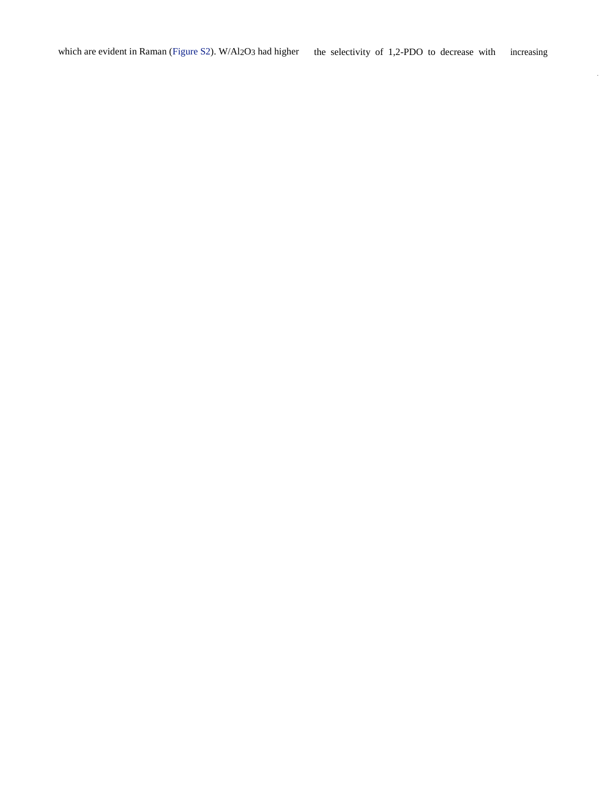$\sim$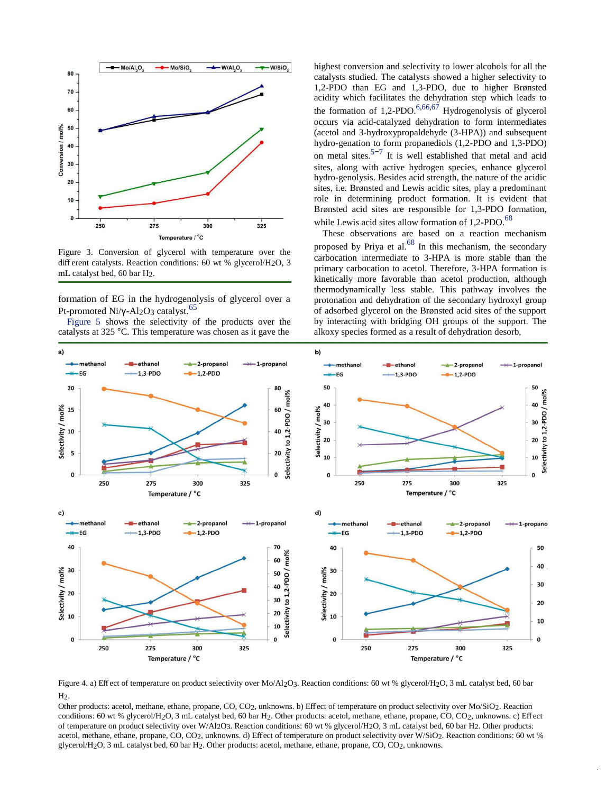

Figure 3. Conversion of glycerol with temperature over the different catalysts. Reaction conditions: 60 wt % glycerol/H2O, 3 mL catalyst bed, 60 bar H2.

formation of EG in the hydrogenolysis of glycerol over a Pt-promoted Ni/γ-Al<sub>2</sub>O<sub>3</sub> catalyst.<sup>65</sup>

[Figure 5 s](#page-8-0)hows the selectivity of the products over the catalysts at 325 °C. This temperature was chosen as it gave the

highest conversion and selectivity to lower alcohols for all the catalysts studied. The catalysts showed a higher selectivity to 1,2-PDO than EG and 1,3-PDO, due to higher Brønsted acidity which facilitates the dehydration step which leads to the formation of 1,2-PDO.<sup>6,66,67</sup> Hydrogenolysis of glycerol occurs via acid-catalyzed dehydration to form intermediates (acetol and 3-hydroxypropaldehyde (3-HPA)) and subsequent hydro-genation to form propanediols (1,2-PDO and 1,3-PDO) on metal sites.<sup>5−7</sup> It is well established that metal and acid sites, along with active hydrogen species, enhance glycerol hydro-genolysis. Besides acid strength, the nature of the acidic sites, i.e. Brønsted and Lewis acidic sites, play a predominant role in determining product formation. It is evident that Brønsted acid sites are responsible for 1,3-PDO formation, while Lewis acid sites allow formation of  $1,2-\text{PDO}$ .<sup>68</sup>

These observations are based on a reaction mechanism proposed by Priya et al. $^{68}$  In this mechanism, the secondary carbocation intermediate to 3-HPA is more stable than the primary carbocation to acetol. Therefore, 3-HPA formation is kinetically more favorable than acetol production, although thermodynamically less stable. This pathway involves the protonation and dehydration of the secondary hydroxyl group of adsorbed glycerol on the Brønsted acid sites of the support by interacting with bridging OH groups of the support. The alkoxy species formed as a result of dehydration desorb,



Figure 4. a) Effect of temperature on product selectivity over Mo/Al2O3. Reaction conditions: 60 wt % glycerol/H2O, 3 mL catalyst bed, 60 bar H2.

Other products: acetol, methane, ethane, propane, CO, CO2, unknowns. b) Effect of temperature on product selectivity over Mo/SiO2. Reaction conditions: 60 wt % glycerol/H2O, 3 mL catalyst bed, 60 bar H2. Other products: acetol, methane, ethane, propane, CO, CO2, unknowns. c) Effect of temperature on product selectivity over W/Al2O3. Reaction conditions: 60 wt % glycerol/H2O, 3 mL catalyst bed, 60 bar H2. Other products: acetol, methane, ethane, propane, CO, CO2, unknowns. d) Effect of temperature on product selectivity over W/SiO2. Reaction conditions: 60 wt % glycerol/H2O, 3 mL catalyst bed, 60 bar H2. Other products: acetol, methane, ethane, propane, CO, CO2, unknowns.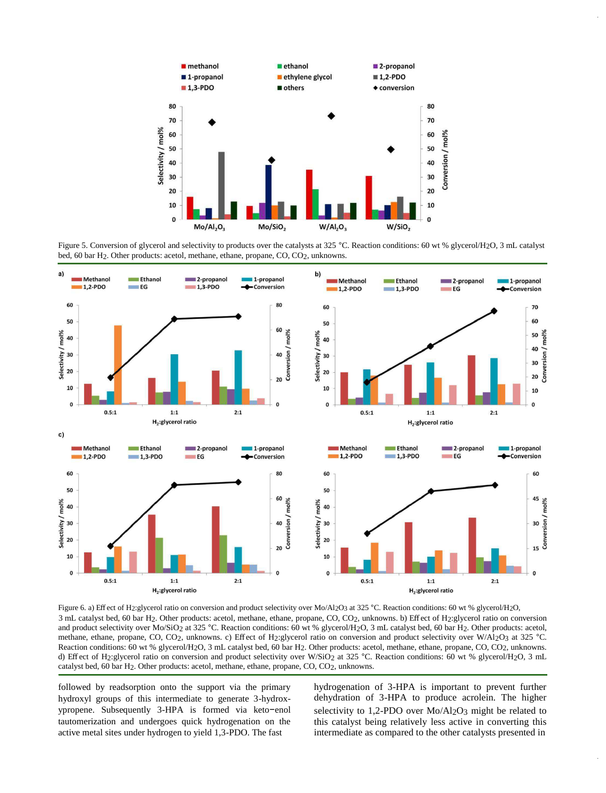

Figure 5. Conversion of glycerol and selectivity to products over the catalysts at 325 °C. Reaction conditions: 60 wt % glycerol/H<sub>2</sub>O, 3 mL catalyst bed, 60 bar H2. Other products: acetol, methane, ethane, propane, CO, CO2, unknowns.



Figure 6. a) Effect of H2:glycerol ratio on conversion and product selectivity over Mo/Al2O3 at 325 °C. Reaction conditions: 60 wt % glycerol/H2O, 3 mL catalyst bed, 60 bar H2. Other products: acetol, methane, ethane, propane, CO, CO2, unknowns. b) Effect of H2:glycerol ratio on conversion and product selectivity over Mo/SiO<sub>2</sub> at 325 °C. Reaction conditions: 60 wt % glycerol/H<sub>2</sub>O, 3 mL catalyst bed, 60 bar H<sub>2</sub>. Other products: acetol, methane, ethane, propane, CO, CO<sub>2</sub>, unknowns. c) Effect of H<sub>2</sub>:glycerol ratio on conversion and product selectivity over W/Al<sub>2</sub>O<sub>3</sub> at 325 °C. Reaction conditions: 60 wt % glycerol/H2O, 3 mL catalyst bed, 60 bar H2. Other products: acetol, methane, ethane, propane, CO, CO2, unknowns. d) Effect of H2:glycerol ratio on conversion and product selectivity over W/SiO2 at 325 °C. Reaction conditions: 60 wt % glycerol/H2O, 3 mL catalyst bed, 60 bar H2. Other products: acetol, methane, ethane, propane, CO, CO2, unknowns.

followed by readsorption onto the support via the primary hydroxyl groups of this intermediate to generate 3-hydroxypropene. Subsequently 3-HPA is formed via keto−enol tautomerization and undergoes quick hydrogenation on the active metal sites under hydrogen to yield 1,3-PDO. The fast

hydrogenation of 3-HPA is important to prevent further dehydration of 3-HPA to produce acrolein. The higher selectivity to 1,2-PDO over Mo/Al<sub>2</sub>O<sub>3</sub> might be related to this catalyst being relatively less active in converting this intermediate as compared to the other catalysts presented in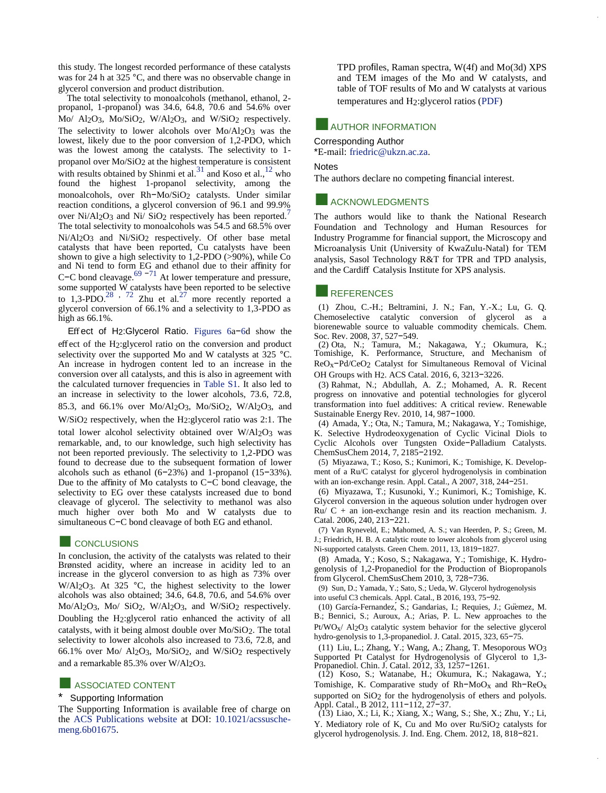<span id="page-8-0"></span>this study. The longest recorded performance of these catalysts was for 24 h at 325 °C, and there was no observable change in glycerol conversion and product distribution.

The total selectivity to monoalcohols (methanol, ethanol, 2propanol, 1-propanol) was 34.6, 64.8, 70.6 and 54.6% over Mo/ Al2O3, Mo/SiO2, W/Al2O3, and W/SiO2 respectively. The selectivity to lower alcohols over Mo/Al2O3 was the lowest, likely due to the poor conversion of 1,2-PDO, which was the lowest among the catalysts. The selectivity to 1 propanol over Mo/SiO2 at the highest temperature is consistent with results obtained by Shinmi et al.<sup>31</sup> and Koso et al.,<sup>12</sup> who found the highest 1-propanol selectivity, among the monoalcohols, over Rh−Mo/SiO2 catalysts. Under similar reaction conditions, a glycerol conversion of 96.1 and 99.9% over Ni/Al2O3 and Ni/ SiO2 respectively has been reported.<sup>7</sup> The total selectivity to monoalcohols was 54.5 and 68.5% over Ni/Al2O3 and Ni/SiO2 respectively. Of other base metal catalysts that have been reported, Cu catalysts have been shown to give a high selectivity to  $1,2-\text{PDO}$  (>90%), while Co and Ni tend to form EG and ethanol due to their affinity for C−C bond cleavage.<sup>69 −71</sup> At lower temperature and pressure, some supported W catalysts have been reported to be selective to 1,3-PDO.<sup>28</sup>,  $72$  Zhu et al.<sup>27</sup> more recently reported a glycerol conversion of 66.1% and a selectivity to 1,3-PDO as high as 66.1%.

Effect of H2:Glycerol Ratio. [Figures 6a](#page-8-0)−[6d](#page-8-0) show the effect of the H2:glycerol ratio on the conversion and product selectivity over the supported Mo and W catalysts at 325 °C. An increase in hydrogen content led to an increase in the conversion over all catalysts, and this is also in agreement with the calculated turnover frequencies in [Table S1.](http://pubs.acs.org/doi/suppl/10.1021/acssuschemeng.6b01675/suppl_file/sc6b01675_si_001.pdf) It also led to an increase in selectivity to the lower alcohols, 73.6, 72.8, 85.3, and 66.1% over Mo/Al2O3, Mo/SiO2, W/Al2O3, and W/SiO2 respectively, when the H2:glycerol ratio was 2:1. The total lower alcohol selectivity obtained over W/Al2O3 was remarkable, and, to our knowledge, such high selectivity has not been reported previously. The selectivity to 1,2-PDO was found to decrease due to the subsequent formation of lower alcohols such as ethanol (6−23%) and 1-propanol (15−33%). Due to the affinity of Mo catalysts to C−C bond cleavage, the selectivity to EG over these catalysts increased due to bond cleavage of glycerol. The selectivity to methanol was also much higher over both Mo and W catalysts due to simultaneous C−C bond cleavage of both EG and ethanol.

#### **EXECONCLUSIONS**

In conclusion, the activity of the catalysts was related to their Brønsted acidity, where an increase in acidity led to an increase in the glycerol conversion to as high as 73% over W/Al<sub>2</sub>O<sub>3</sub>. At 325 °C, the highest selectivity to the lower alcohols was also obtained; 34.6, 64.8, 70.6, and 54.6% over Mo/Al2O3, Mo/ SiO2, W/Al2O3, and W/SiO2 respectively. Doubling the H2:glycerol ratio enhanced the activity of all catalysts, with it being almost double over Mo/SiO2. The total selectivity to lower alcohols also increased to 73.6, 72.8, and 66.1% over Mo/ Al2O3, Mo/SiO2, and W/SiO2 respectively and a remarkable 85.3% over W/Al2O3.

#### **ASSOCIATED CONTENT**

#### Supporting Information

The Supporting Information is available free of charge on the [ACS Publications website a](http://pubs.acs.org/)t DOI: [10.1021/acssusche](http://pubs.acs.org/doi/abs/10.1021/acssuschemeng.6b01675)[meng.6b01675.](http://pubs.acs.org/doi/abs/10.1021/acssuschemeng.6b01675)

TPD profiles, Raman spectra, W(4f) and Mo(3d) XPS and TEM images of the Mo and W catalysts, and table of TOF results of Mo and W catalysts at various temperatures and H2:glycerol ratios [\(PDF\)](http://pubs.acs.org/doi/suppl/10.1021/acssuschemeng.6b01675/suppl_file/sc6b01675_si_001.pdf)

## **AUTHOR INFORMATION**

#### Corresponding Author

\*E-mail: [friedric@ukzn.ac.za.](mailto:friedric@ukzn.ac.za)

#### Notes

The authors declare no competing financial interest.

#### **ACKNOWLEDGMENTS**

The authors would like to thank the National Research Foundation and Technology and Human Resources for Industry Programme for financial support, the Microscopy and Microanalysis Unit (University of KwaZulu-Natal) for TEM analysis, Sasol Technology R&T for TPR and TPD analysis, and the Cardiff Catalysis Institute for XPS analysis.

#### **E**REFERENCES

(1) Zhou, C.-H.; Beltramini, J. N.; Fan, Y.-X.; Lu, G. Q. Chemoselective catalytic conversion of glycerol as a biorenewable source to valuable commodity chemicals. Chem. Soc. Rev. 2008, 37, 527−549.

(2) Ota, N.; Tamura, M.; Nakagawa, Y.; Okumura, K.; Tomishige, K. Performance, Structure, and Mechanism of ReOx−Pd/CeO2 Catalyst for Simultaneous Removal of Vicinal OH Groups with H2. ACS Catal. 2016, 6, 3213−3226.

(3) Rahmat, N.; Abdullah, A. Z.; Mohamed, A. R. Recent progress on innovative and potential technologies for glycerol transformation into fuel additives: A critical review. Renewable Sustainable Energy Rev. 2010, 14, 987−1000.

(4) Amada, Y.; Ota, N.; Tamura, M.; Nakagawa, Y.; Tomishige, K. Selective Hydrodeoxygenation of Cyclic Vicinal Diols to Cyclic Alcohols over Tungsten Oxide−Palladium Catalysts. ChemSusChem 2014, 7, 2185−2192.

(5) Miyazawa, T.; Koso, S.; Kunimori, K.; Tomishige, K. Development of a Ru/C catalyst for glycerol hydrogenolysis in combination with an ion-exchange resin. Appl. Catal., A 2007, 318, 244−251.

(6) Miyazawa, T.; Kusunoki, Y.; Kunimori, K.; Tomishige, K. Glycerol conversion in the aqueous solution under hydrogen over  $Ru / C + an$  ion-exchange resin and its reaction mechanism. J. Catal. 2006, 240, 213−221.

(7) Van Ryneveld, E.; Mahomed, A. S.; van Heerden, P. S.; Green, M. J.; Friedrich, H. B. A catalytic route to lower alcohols from glycerol using Ni-supported catalysts. Green Chem. 2011, 13, 1819−1827.

(8) Amada, Y.; Koso, S.; Nakagawa, Y.; Tomishige, K. Hydrogenolysis of 1,2-Propanediol for the Production of Biopropanols from Glycerol. ChemSusChem 2010, 3, 728−736.

(9) Sun, D.; Yamada, Y.; Sato, S.; Ueda, W. Glycerol hydrogenolysis into useful C3 chemicals. Appl. Catal., B 2016, 193, 75−92.

(10) García-Fernandez,́ S.; Gandarias, I.; Requies, J.; Güemez, M. B.; Bennici, S.; Auroux, A.; Arias, P. L. New approaches to the  $Pt/WO<sub>x</sub>/$  Al<sub>2</sub>O<sub>3</sub> catalytic system behavior for the selective glycerol hydro-genolysis to 1,3-propanediol. J. Catal. 2015, 323, 65−75.

(11) Liu, L.; Zhang, Y.; Wang, A.; Zhang, T. Mesoporous WO3 Supported Pt Catalyst for Hydrogenolysis of Glycerol to 1,3- Propanediol. Chin. J. Catal. 2012, 33, 1257−1261.

(12) Koso, S.; Watanabe, H.; Okumura, K.; Nakagawa, Y.; Tomishige, K. Comparative study of Rh−MoOx and Rh−ReOx supported on SiO<sub>2</sub> for the hydrogenolysis of ethers and polyols. Appl. Catal., B 2012, 111−112, 27−37.

(13) Liao, X.; Li, K.; Xiang, X.; Wang, S.; She, X.; Zhu, Y.; Li, Y. Mediatory role of K, Cu and Mo over Ru/SiO2 catalysts for glycerol hydrogenolysis. J. Ind. Eng. Chem. 2012, 18, 818−821.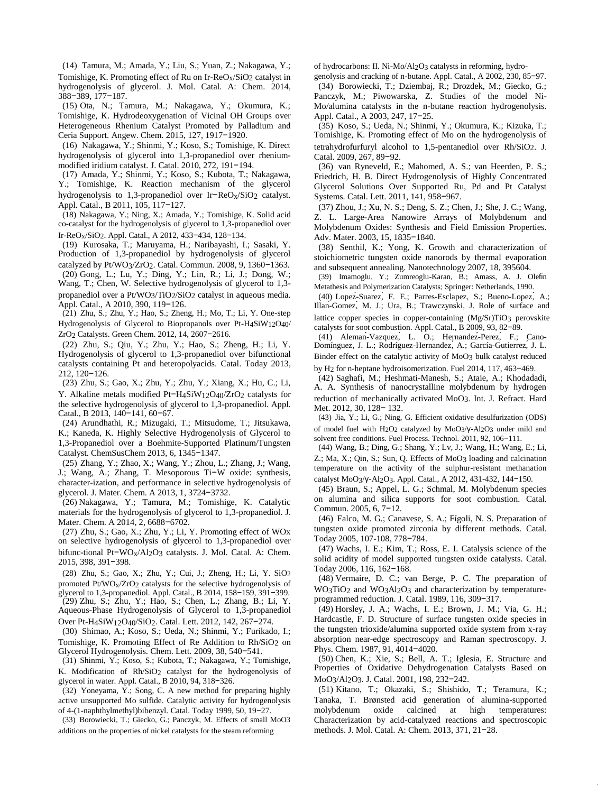(14) Tamura, M.; Amada, Y.; Liu, S.; Yuan, Z.; Nakagawa, Y.; Tomishige, K. Promoting effect of Ru on Ir-Re $O_x/SiO_2$  catalyst in hydrogenolysis of glycerol. J. Mol. Catal. A: Chem. 2014, 388−389, 177−187.

(15) Ota, N.; Tamura, M.; Nakagawa, Y.; Okumura, K.; Tomishige, K. Hydrodeoxygenation of Vicinal OH Groups over Heterogeneous Rhenium Catalyst Promoted by Palladium and Ceria Support. Angew. Chem. 2015, 127, 1917−1920.

(16) Nakagawa, Y.; Shinmi, Y.; Koso, S.; Tomishige, K. Direct hydrogenolysis of glycerol into 1,3-propanediol over rheniummodified iridium catalyst. J. Catal. 2010, 272, 191−194.

(17) Amada, Y.; Shinmi, Y.; Koso, S.; Kubota, T.; Nakagawa, Y.; Tomishige, K. Reaction mechanism of the glycerol hydrogenolysis to 1,3-propanediol over Ir−ReOx/SiO2 catalyst. Appl. Catal., B 2011, 105, 117−127.

(18) Nakagawa, Y.; Ning, X.; Amada, Y.; Tomishige, K. Solid acid co-catalyst for the hydrogenolysis of glycerol to 1,3-propanediol over Ir-ReOx/SiO2. Appl. Catal., A 2012, 433−434, 128−134.

(19) Kurosaka, T.; Maruyama, H.; Naribayashi, I.; Sasaki, Y. Production of 1,3-propanediol by hydrogenolysis of glycerol catalyzed by Pt/WO3/ZrO2. Catal. Commun. 2008, 9, 1360−1363.

(20) Gong, L.; Lu, Y.; Ding, Y.; Lin, R.; Li, J.; Dong, W.; Wang, T.; Chen, W. Selective hydrogenolysis of glycerol to 1,3 propanediol over a Pt/WO3/TiO2/SiO2 catalyst in aqueous media. Appl. Catal., A 2010, 390, 119−126.

(21) Zhu, S.; Zhu, Y.; Hao, S.; Zheng, H.; Mo, T.; Li, Y. One-step Hydrogenolysis of Glycerol to Biopropanols over Pt-H4SiW12O40/ ZrO2 Catalysts. Green Chem. 2012, 14, 2607−2616.

(22) Zhu, S.; Qiu, Y.; Zhu, Y.; Hao, S.; Zheng, H.; Li, Y. Hydrogenolysis of glycerol to 1,3-propanediol over bifunctional catalysts containing Pt and heteropolyacids. Catal. Today 2013, 212, 120−126.

(23) Zhu, S.; Gao, X.; Zhu, Y.; Zhu, Y.; Xiang, X.; Hu, C.; Li, Y. Alkaline metals modified Pt−H4SiW12O40/ZrO2 catalysts for the selective hydrogenolysis of glycerol to 1,3-propanediol. Appl. Catal., B 2013, 140−141, 60−67.

(24) Arundhathi, R.; Mizugaki, T.; Mitsudome, T.; Jitsukawa, K.; Kaneda, K. Highly Selective Hydrogenolysis of Glycerol to 1,3-Propanediol over a Boehmite-Supported Platinum/Tungsten Catalyst. ChemSusChem 2013, 6, 1345−1347.

(25) Zhang, Y.; Zhao, X.; Wang, Y.; Zhou, L.; Zhang, J.; Wang, J.; Wang, A.; Zhang, T. Mesoporous Ti−W oxide: synthesis, character-ization, and performance in selective hydrogenolysis of glycerol. J. Mater. Chem. A 2013, 1, 3724−3732.

(26) Nakagawa, Y.; Tamura, M.; Tomishige, K. Catalytic materials for the hydrogenolysis of glycerol to 1,3-propanediol. J. Mater. Chem. A 2014, 2, 6688−6702.

(27) Zhu, S.; Gao, X.; Zhu, Y.; Li, Y. Promoting effect of WOx on selective hydrogenolysis of glycerol to 1,3-propanediol over bifunc-tional Pt−WOx/Al2O3 catalysts. J. Mol. Catal. A: Chem. 2015, 398, 391−398.

(28) Zhu, S.; Gao, X.; Zhu, Y.; Cui, J.; Zheng, H.; Li, Y. SiO2 promoted Pt/WOx/ZrO2 catalysts for the selective hydrogenolysis of glycerol to 1,3-propanediol. Appl. Catal., B 2014, 158−159, 391−399.

(29) Zhu, S.; Zhu, Y.; Hao, S.; Chen, L.; Zhang, B.; Li, Y. Aqueous-Phase Hydrogenolysis of Glycerol to 1,3-propanediol Over Pt-H4SiW12O40/SiO2. Catal. Lett. 2012, 142, 267−274.

(30) Shimao, A.; Koso, S.; Ueda, N.; Shinmi, Y.; Furikado, I.; Tomishige, K. Promoting Effect of Re Addition to Rh/SiO2 on Glycerol Hydrogenolysis. Chem. Lett. 2009, 38, 540−541.

(31) Shinmi, Y.; Koso, S.; Kubota, T.; Nakagawa, Y.; Tomishige, K. Modification of Rh/SiO2 catalyst for the hydrogenolysis of glycerol in water. Appl. Catal., B 2010, 94, 318−326.

(32) Yoneyama, Y.; Song, C. A new method for preparing highly active unsupported Mo sulfide. Catalytic activity for hydrogenolysis of 4-(1-naphthylmethyl)bibenzyl. Catal. Today 1999, 50, 19−27.

(33) Borowiecki, T.; Giecko, G.; Panczyk, M. Effects of small MoO3 additions on the properties of nickel catalysts for the steam reforming

of hydrocarbons: II. Ni-Mo/Al<sub>2</sub>O<sub>3</sub> catalysts in reforming, hydro-

genolysis and cracking of n-butane. Appl. Catal., A 2002, 230, 85−97. (34) Borowiecki, T.; Dziembaj, R.; Drozdek, M.; Giecko, G.; Panczyk, M.; Piwowarska, Z. Studies of the model Ni-Mo/alumina catalysts in the n-butane reaction hydrogenolysis. Appl. Catal., A 2003, 247, 17−25.

(35) Koso, S.; Ueda, N.; Shinmi, Y.; Okumura, K.; Kizuka, T.; Tomishige, K. Promoting effect of Mo on the hydrogenolysis of tetrahydrofurfuryl alcohol to 1,5-pentanediol over Rh/SiO2. J. Catal. 2009, 267, 89−92.

(36) van Ryneveld, E.; Mahomed, A. S.; van Heerden, P. S.; Friedrich, H. B. Direct Hydrogenolysis of Highly Concentrated Glycerol Solutions Over Supported Ru, Pd and Pt Catalyst Systems. Catal. Lett. 2011, 141, 958−967.

(37) Zhou, J.; Xu, N. S.; Deng, S. Z.; Chen, J.; She, J. C.; Wang, Z. L. Large-Area Nanowire Arrays of Molybdenum and Molybdenum Oxides: Synthesis and Field Emission Properties. Adv. Mater. 2003, 15, 1835−1840.

(38) Senthil, K.; Yong, K. Growth and characterization of stoichiometric tungsten oxide nanorods by thermal evaporation and subsequent annealing. Nanotechnology 2007, 18, 395604.

(39) Imamoglu, Y.; Zumreoglu-Karan, B.; Amass, A. J. Olefin Metathesis and Polymerization Catalysts; Springer: Netherlands, 1990.

(40) Lopeź-Suarez,́ F. E.; Parres-Esclapez, S.; Bueno-Lopez,́ A.; Illań-Gomez,́ M. J.; Ura, B.; Trawczynski, J. Role of surface and lattice copper species in copper-containing (Mg/Sr)TiO3 perovskite catalysts for soot combustion. Appl. Catal., B 2009, 93, 82−89.

(41) Alemań-Vazquez,́ L. O.; Hernandeź-Perez,́ F.; Cano-Domínguez, J. L.; Rodríguez-Hernandez,́ A.; García-Gutierrez,́ J. L. Binder effect on the catalytic activity of MoO3 bulk catalyst reduced by H2 for n-heptane hydroisomerization. Fuel 2014, 117, 463−469.

(42) Saghafi, M.; Heshmati-Manesh, S.; Ataie, A.; Khodadadi, A. A. Synthesis of nanocrystalline molybdenum by hydrogen reduction of mechanically activated MoO3. Int. J. Refract. Hard Met. 2012, 30, 128− 132.

(43) Jia, Y.; Li, G.; Ning, G. Efficient oxidative desulfurization (ODS) of model fuel with H2O2 catalyzed by MoO3/γ-Al2O3 under mild and solvent free conditions. Fuel Process. Technol. 2011, 92, 106−111.

(44) Wang, B.; Ding, G.; Shang, Y.; Lv, J.; Wang, H.; Wang, E.; Li, Z.; Ma, X.; Qin, S.; Sun, Q. Effects of MoO3 loading and calcination temperature on the activity of the sulphur-resistant methanation catalyst MoO3/γ-Al2O3. Appl. Catal., A 2012, 431-432, 144−150.

(45) Braun, S.; Appel, L. G.; Schmal, M. Molybdenum species on alumina and silica supports for soot combustion. Catal. Commun. 2005, 6, 7−12.

(46) Falco, M. G.; Canavese, S. A.; Fígoli, N. S. Preparation of tungsten oxide promoted zirconia by different methods. Catal. Today 2005, 107-108, 778−784.

(47) Wachs, I. E.; Kim, T.; Ross, E. I. Catalysis science of the solid acidity of model supported tungsten oxide catalysts. Catal. Today 2006, 116, 162−168.

(48) Vermaire, D. C.; van Berge, P. C. The preparation of WO3TiO<sub>2</sub> and WO3Al<sub>2</sub>O<sub>3</sub> and characterization by temperatureprogrammed reduction. J. Catal. 1989, 116, 309−317.

(49) Horsley, J. A.; Wachs, I. E.; Brown, J. M.; Via, G. H.; Hardcastle, F. D. Structure of surface tungsten oxide species in the tungsten trioxide/alumina supported oxide system from x-ray absorption near-edge spectroscopy and Raman spectroscopy. J. Phys. Chem. 1987, 91, 4014−4020.

(50) Chen, K.; Xie, S.; Bell, A. T.; Iglesia, E. Structure and Properties of Oxidative Dehydrogenation Catalysts Based on MoO3/Al2O3. J. Catal. 2001, 198, 232−242.

(51) Kitano, T.; Okazaki, S.; Shishido, T.; Teramura, K.; Tanaka, T. Brønsted acid generation of alumina-supported molybdenum oxide calcined at high temperatures: Characterization by acid-catalyzed reactions and spectroscopic methods. J. Mol. Catal. A: Chem. 2013, 371, 21−28.